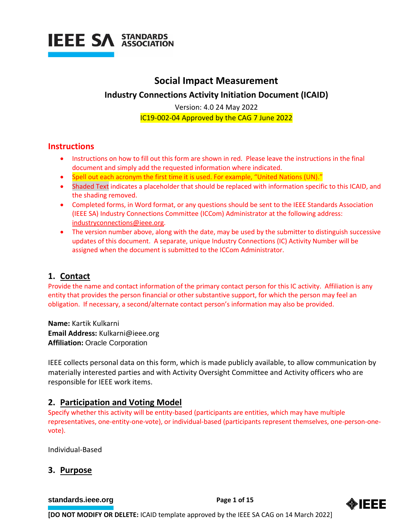

### **Social Impact Measurement Industry Connections Activity Initiation Document (ICAID)**

Version: 4.0 24 May 2022 IC19-002-04 Approved by the CAG 7 June 2022

#### **Instructions**

- Instructions on how to fill out this form are shown in red. Please leave the instructions in the final document and simply add the requested information where indicated.
- Spell out each acronym the first time it is used. For example, "United Nations (UN)."
- Shaded Text indicates a placeholder that should be replaced with information specific to this ICAID, and the shading removed.
- Completed forms, in Word format, or any questions should be sent to the IEEE Standards Association (IEEE SA) Industry Connections Committee (ICCom) Administrator at the following address: [industryconnections@ieee.org.](mailto:industryconnections@ieee.org)
- The version number above, along with the date, may be used by the submitter to distinguish successive updates of this document. A separate, unique Industry Connections (IC) Activity Number will be assigned when the document is submitted to the ICCom Administrator.

#### **1. Contact**

Provide the name and contact information of the primary contact person for this IC activity. Affiliation is any entity that provides the person financial or other substantive support, for which the person may feel an obligation. If necessary, a second/alternate contact person's information may also be provided.

**Name:** Kartik Kulkarni **Email Address:** Kulkarni@ieee.org **Affiliation:** Oracle Corporation

IEEE collects personal data on this form, which is made publicly available, to allow communication by materially interested parties and with Activity Oversight Committee and Activity officers who are responsible for IEEE work items.

#### **2. Participation and Voting Model**

Specify whether this activity will be entity-based (participants are entities, which may have multiple representatives, one-entity-one-vote), or individual-based (participants represent themselves, one-person-onevote).

Individual-Based

#### **3. Purpose**

**[standards.ieee.org](http://standards.ieee.org/) example 2 Page 1 of 15** 

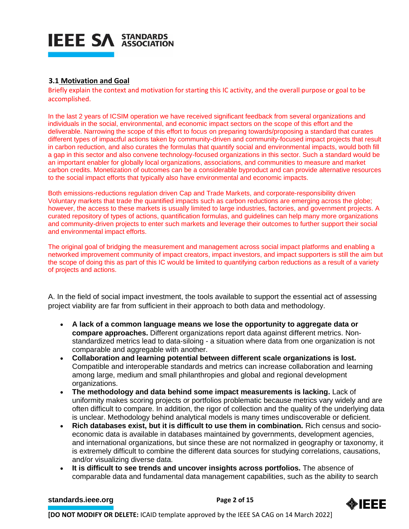

#### **3.1 Motivation and Goal**

Briefly explain the context and motivation for starting this IC activity, and the overall purpose or goal to be accomplished.

In the last 2 years of ICSIM operation we have received significant feedback from several organizations and individuals in the social, environmental, and economic impact sectors on the scope of this effort and the deliverable. Narrowing the scope of this effort to focus on preparing towards/proposing a standard that curates different types of impactful actions taken by community-driven and community-focused impact projects that result in carbon reduction, and also curates the formulas that quantify social and environmental impacts, would both fill a gap in this sector and also convene technology-focused organizations in this sector. Such a standard would be an important enabler for globally local organizations, associations, and communities to measure and market carbon credits. Monetization of outcomes can be a considerable byproduct and can provide alternative resources to the social impact efforts that typically also have environmental and economic impacts.

Both emissions-reductions regulation driven Cap and Trade Markets, and corporate-responsibility driven Voluntary markets that trade the quantified impacts such as carbon reductions are emerging across the globe; however, the access to these markets is usually limited to large industries, factories, and government projects. A curated repository of types of actions, quantification formulas, and guidelines can help many more organizations and community-driven projects to enter such markets and leverage their outcomes to further support their social and environmental impact efforts.

The original goal of bridging the measurement and management across social impact platforms and enabling a networked improvement community of impact creators, impact investors, and impact supporters is still the aim but the scope of doing this as part of this IC would be limited to quantifying carbon reductions as a result of a variety of projects and actions.

A. In the field of social impact investment, the tools available to support the essential act of assessing project viability are far from sufficient in their approach to both data and methodology.

- **A lack of a common language means we lose the opportunity to aggregate data or compare approaches.** Different organizations report data against different metrics. Nonstandardized metrics lead to data-siloing - a situation where data from one organization is not comparable and aggregable with another.
- **Collaboration and learning potential between different scale organizations is lost.**  Compatible and interoperable standards and metrics can increase collaboration and learning among large, medium and small philanthropies and global and regional development organizations.
- **The methodology and data behind some impact measurements is lacking.** Lack of uniformity makes scoring projects or portfolios problematic because metrics vary widely and are often difficult to compare. In addition, the rigor of collection and the quality of the underlying data is unclear. Methodology behind analytical models is many times undiscoverable or deficient.
- **Rich databases exist, but it is difficult to use them in combination.** Rich census and socioeconomic data is available in databases maintained by governments, development agencies, and international organizations, but since these are not normalized in geography or taxonomy, it is extremely difficult to combine the different data sources for studying correlations, causations, and/or visualizing diverse data.
- **It is difficult to see trends and uncover insights across portfolios.** The absence of comparable data and fundamental data management capabilities, such as the ability to search

#### **[standards.ieee.org](http://standards.ieee.org/)**<br> **Page 2 of 15**

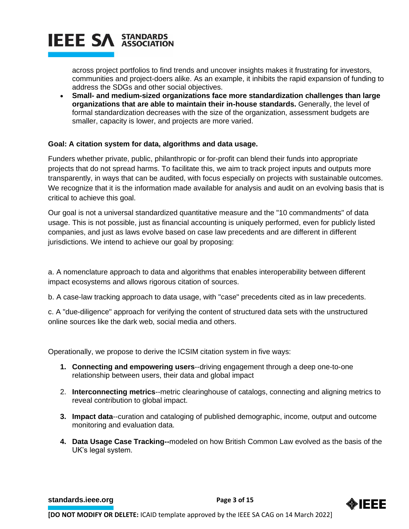

across project portfolios to find trends and uncover insights makes it frustrating for investors, communities and project-doers alike. As an example, it inhibits the rapid expansion of funding to address the SDGs and other social objectives.

• **Small- and medium-sized organizations face more standardization challenges than large organizations that are able to maintain their in-house standards.** Generally, the level of formal standardization decreases with the size of the organization, assessment budgets are smaller, capacity is lower, and projects are more varied.

#### **Goal: A citation system for data, algorithms and data usage.**

Funders whether private, public, philanthropic or for-profit can blend their funds into appropriate projects that do not spread harms. To facilitate this, we aim to track project inputs and outputs more transparently, in ways that can be audited, with focus especially on projects with sustainable outcomes. We recognize that it is the information made available for analysis and audit on an evolving basis that is critical to achieve this goal.

Our goal is not a universal standardized quantitative measure and the "10 commandments" of data usage. This is not possible, just as financial accounting is uniquely performed, even for publicly listed companies, and just as laws evolve based on case law precedents and are different in different jurisdictions. We intend to achieve our goal by proposing:

a. A nomenclature approach to data and algorithms that enables interoperability between different impact ecosystems and allows rigorous citation of sources.

b. A case-law tracking approach to data usage, with "case" precedents cited as in law precedents.

c. A "due-diligence" approach for verifying the content of structured data sets with the unstructured online sources like the dark web, social media and others.

Operationally, we propose to derive the ICSIM citation system in five ways:

- **1. Connecting and empowering users**--driving engagement through a deep one-to-one relationship between users, their data and global impact
- 2. **Interconnecting metrics**--metric clearinghouse of catalogs, connecting and aligning metrics to reveal contribution to global impact.
- **3. Impact data**--curation and cataloging of published demographic, income, output and outcome monitoring and evaluation data.
- **4. Data Usage Case Tracking--**modeled on how British Common Law evolved as the basis of the UK's legal system.

**[standards.ieee.org](http://standards.ieee.org/) EXECUTE: Page 3 of 15** 

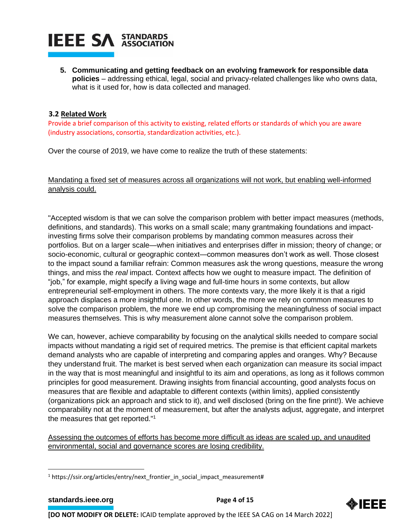

**5. Communicating and getting feedback on an evolving framework for responsible data policies** – addressing ethical, legal, social and privacy-related challenges like who owns data, what is it used for, how is data collected and managed.

#### **3.2 Related Work**

Provide a brief comparison of this activity to existing, related efforts or standards of which you are aware (industry associations, consortia, standardization activities, etc.).

Over the course of 2019, we have come to realize the truth of these statements:

Mandating a fixed set of measures across all organizations will not work, but enabling well-informed analysis could.

"Accepted wisdom is that we can solve the comparison problem with better impact measures (methods, definitions, and standards). This works on a small scale; many grantmaking foundations and impactinvesting firms solve their comparison problems by mandating common measures across their portfolios. But on a larger scale—when initiatives and enterprises differ in mission; theory of change; or socio-economic, cultural or geographic context—common measures don't work as well. Those closest to the impact sound a familiar refrain: Common measures ask the wrong questions, measure the wrong things, and miss the *real* impact. Context affects how we ought to measure impact. The definition of "job," for example, might specify a living wage and full-time hours in some contexts, but allow entrepreneurial self-employment in others. The more contexts vary, the more likely it is that a rigid approach displaces a more insightful one. In other words, the more we rely on common measures to solve the comparison problem, the more we end up compromising the meaningfulness of social impact measures themselves. This is why measurement alone cannot solve the comparison problem.

We can, however, achieve comparability by focusing on the analytical skills needed to compare social impacts without mandating a rigid set of required metrics. The premise is that efficient capital markets demand analysts who are capable of interpreting and comparing apples and oranges. Why? Because they understand fruit. The market is best served when each organization can measure its social impact in the way that is most meaningful and insightful to its aim and operations, as long as it follows common principles for good measurement. Drawing insights from financial accounting, good analysts focus on measures that are flexible and adaptable to different contexts (within limits), applied consistently (organizations pick an approach and stick to it), and well disclosed (bring on the fine print!). We achieve comparability not at the moment of measurement, but after the analysts adjust, aggregate, and interpret the measures that get reported."<sup>1</sup>

Assessing the outcomes of efforts has become more difficult as ideas are scaled up, and unaudited environmental, social and governance scores are losing credibility.



<sup>1</sup> https://ssir.org/articles/entry/next\_frontier\_in\_social\_impact\_measurement#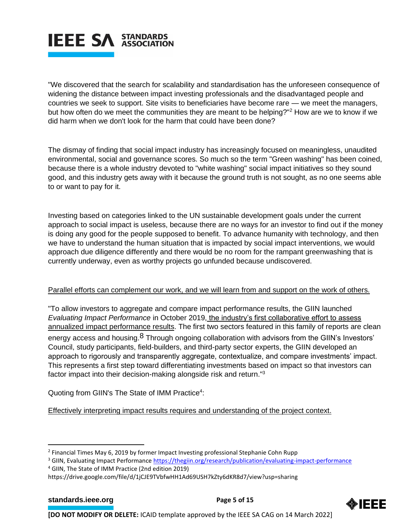

"We discovered that the search for scalability and standardisation has the unforeseen consequence of widening the distance between impact investing professionals and the disadvantaged people and countries we seek to support. Site visits to beneficiaries have become rare — we meet the managers, but how often do we meet the communities they are meant to be helping?"<sup>2</sup> How are we to know if we did harm when we don't look for the harm that could have been done?

The dismay of finding that social impact industry has increasingly focused on meaningless, unaudited environmental, social and governance scores. So much so the term "Green washing" has been coined, because there is a whole industry devoted to "white washing" social impact initiatives so they sound good, and this industry gets away with it because the ground truth is not sought, as no one seems able to or want to pay for it.

Investing based on categories linked to the UN sustainable development goals under the current approach to social impact is useless, because there are no ways for an investor to find out if the money is doing any good for the people supposed to benefit. To advance humanity with technology, and then we have to understand the human situation that is impacted by social impact interventions, we would approach due diligence differently and there would be no room for the rampant greenwashing that is currently underway, even as worthy projects go unfunded because undiscovered.

#### Parallel efforts can complement our work, and we will learn from and support on the work of others.

"To allow investors to aggregate and compare impact performance results, the GIIN launched *Evaluating Impact Performance* in October 2019, the industry's first collaborative effort to assess annualized impact performance results. The first two sectors featured in this family of reports are clean energy access and housing.<sup>8</sup> Through ongoing collaboration with advisors from the GIIN's Investors' Council, study participants, field-builders, and third-party sector experts, the GIIN developed an approach to rigorously and transparently aggregate, contextualize, and compare investments' impact. This represents a first step toward differentiating investments based on impact so that investors can factor impact into their decision-making alongside risk and return."<sup>3</sup>

Quoting from GIIN's The State of IMM Practice<sup>4</sup>:

Effectively interpreting impact results requires and understanding of the project context.

<sup>4</sup> GIIN, The State of IMM Practice (2nd edition 2019)



<sup>&</sup>lt;sup>2</sup> Financial Times May 6, 2019 by former Impact Investing professional Stephanie Cohn Rupp

<sup>3</sup> GIIN, Evaluating Impact Performance <https://thegiin.org/research/publication/evaluating-impact-performance>

https://drive.google.com/file/d/1jCJE9TVbfwHH1Ad69USH7kZty6dKR8d7/view?usp=sharing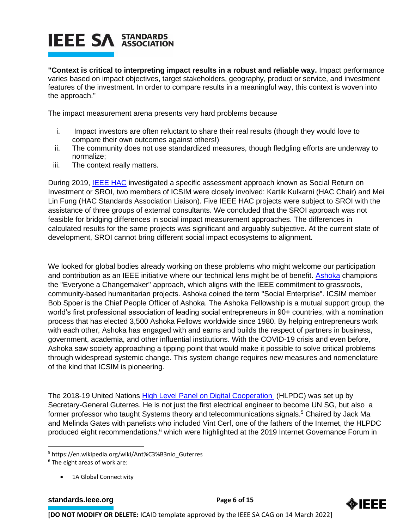**"Context is critical to interpreting impact results in a robust and reliable way.** Impact performance varies based on impact objectives, target stakeholders, geography, product or service, and investment features of the investment. In order to compare results in a meaningful way, this context is woven into the approach."

The impact measurement arena presents very hard problems because

- i. Impact investors are often reluctant to share their real results (though they would love to compare their own outcomes against others!)
- ii. The community does not use standardized measures, though fledgling efforts are underway to normalize;
- iii. The context really matters.

During 2019, [IEEE HAC](https://hac.ieee.org/) investigated a specific assessment approach known as Social Return on Investment or SROI, two members of ICSIM were closely involved: Kartik Kulkarni (HAC Chair) and Mei Lin Fung (HAC Standards Association Liaison). Five IEEE HAC projects were subject to SROI with the assistance of three groups of external consultants. We concluded that the SROI approach was not feasible for bridging differences in social impact measurement approaches. The differences in calculated results for the same projects was significant and arguably subjective. At the current state of development, SROI cannot bring different social impact ecosystems to alignment.

We looked for global bodies already working on these problems who might welcome our participation and contribution as an IEEE initiative where our technical lens might be of benefit. **Ashoka** champions the "Everyone a Changemaker" approach, which aligns with the IEEE commitment to grassroots, community-based humanitarian projects. Ashoka coined the term "Social Enterprise". ICSIM member Bob Spoer is the Chief People Officer of Ashoka. The Ashoka Fellowship is a mutual support group, the world's first professional association of leading social entrepreneurs in 90+ countries, with a nomination process that has elected 3,500 Ashoka Fellows worldwide since 1980. By helping entrepreneurs work with each other, Ashoka has engaged with and earns and builds the respect of partners in business, government, academia, and other influential institutions. With the COVID-19 crisis and even before, Ashoka saw society approaching a tipping point that would make it possible to solve critical problems through widespread systemic change. This system change requires new measures and nomenclature of the kind that ICSIM is pioneering.

The 2018-19 United Nations [High Level Panel on Digital Cooperation](https://www.un.org/en/digital-cooperation-panel) (HLPDC) was set up by Secretary-General Guterres. He is not just the first electrical engineer to become UN SG, but also a former professor who taught Systems theory and telecommunications signals.<sup>5</sup> Chaired by Jack Ma and Melinda Gates with panelists who included Vint Cerf, one of the fathers of the Internet, the HLPDC produced eight recommendations,<sup>6</sup> which were highlighted at the 2019 Internet Governance Forum in

• 1A Global Connectivity

**[standards.ieee.org](http://standards.ieee.org/) EXECUTE: Page 6 of 15** 



<sup>5</sup> https://en.wikipedia.org/wiki/Ant%C3%B3nio\_Guterres

<sup>6</sup> The eight areas of work are: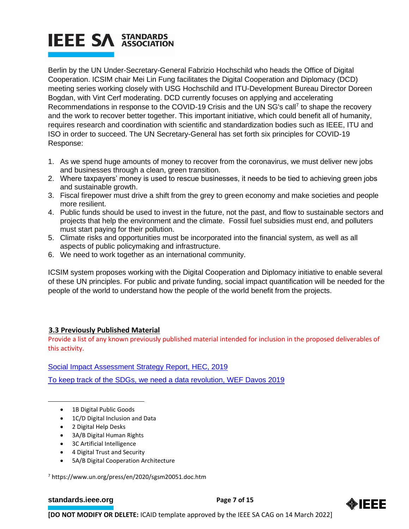Berlin by the UN Under-Secretary-General Fabrizio Hochschild who heads the Office of Digital Cooperation. ICSIM chair Mei Lin Fung facilitates the Digital Cooperation and Diplomacy (DCD) meeting series working closely with USG Hochschild and ITU-Development Bureau Director Doreen Bogdan, with Vint Cerf moderating. DCD currently focuses on applying and accelerating Recommendations in response to the COVID-19 Crisis and the UN SG's call<sup>7</sup> to shape the recovery and the work to recover better together. This important initiative, which could benefit all of humanity, requires research and coordination with scientific and standardization bodies such as IEEE, ITU and ISO in order to succeed. The UN Secretary-General has set forth six principles for COVID-19 Response:

- 1. As we spend huge amounts of money to recover from the coronavirus, we must deliver new jobs and businesses through a clean, green transition.
- 2. Where taxpayers' money is used to rescue businesses, it needs to be tied to achieving green jobs and sustainable growth.
- 3. Fiscal firepower must drive a shift from the grey to green economy and make societies and people more resilient.
- 4. Public funds should be used to invest in the future, not the past, and flow to sustainable sectors and projects that help the environment and the climate. Fossil fuel subsidies must end, and polluters must start paying for their pollution.
- 5. Climate risks and opportunities must be incorporated into the financial system, as well as all aspects of public policymaking and infrastructure.
- 6. We need to work together as an international community.

ICSIM system proposes working with the Digital Cooperation and Diplomacy initiative to enable several of these UN principles. For public and private funding, social impact quantification will be needed for the people of the world to understand how the people of the world benefit from the projects.

#### **3.3 Previously Published Material**

Provide a list of any known previously published material intended for inclusion in the proposed deliverables of this activity.

[Social Impact Assessment Strategy Report, HEC, 2019](https://hbswk.hbs.edu/item/the-hard-work-of-measuring-social-impact)

[To keep track of the SDGs, we need a data revolution, WEF Davos 2019](https://www.weforum.org/agenda/2019/01/its-time-for-a-data-revolution/)

- 1B Digital Public Goods
- 1C/D Digital Inclusion and Data
- 2 Digital Help Desks
- 3A/B Digital Human Rights
- 3C Artificial Intelligence
- 4 Digital Trust and Security
- 5A/B Digital Cooperation Architecture

<sup>7</sup> https://www.un.org/press/en/2020/sgsm20051.doc.htm

#### **[standards.ieee.org](http://standards.ieee.org/) EXECUTE: Page 7 of 15**

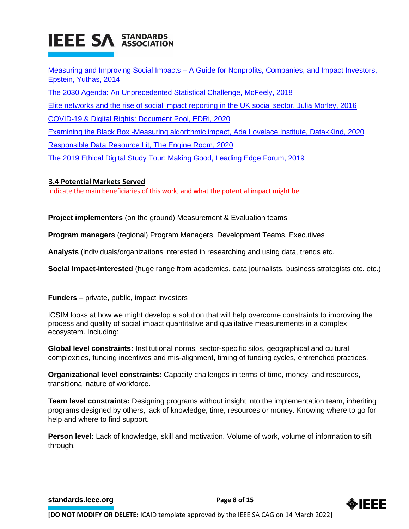Measuring and Improving Social Impacts – [A Guide for Nonprofits, Companies, and Impact Investors,](https://www.bkconnection.com/static/Measuring_and_Improving_Social_Impacts_EXCERPT.pdf)  [Epstein, Yuthas, 2014](https://www.bkconnection.com/static/Measuring_and_Improving_Social_Impacts_EXCERPT.pdf) [The 2030 Agenda: An Unprecedented Statistical Challenge, McFeely, 2018](http://library.fes.de/pdf-files/iez/14796.pdf) [Elite networks and the rise of social impact reporting in the UK social sector, Julia Morley, 2016](https://static1.squarespace.com/static/56573087e4b0f60cdba13509/t/56ec1f1e01dbae856fe1e683/1458315040990/Social-Invesment-Elites-CAR.pdf) [COVID-19 & Digital Rights: Document Pool, EDRi, 2020](https://edri.org/covid-19-digital-rights-document-pool/) [Examining the Black Box -Measuring algorithmic impact, Ada Lovelace Institute, DatakKind, 2020](https://www.adalovelaceinstitute.org/wp-content/uploads/2020/04/Ada-Lovelace-Institute-DataKind-UK-Examining-the-Black-Box-Report-2020.pdf) [Responsible Data Resource Lit, The Engine Room, 2020](https://docs.google.com/document/d/1Fa2QHusD5iJ8Woi8s7-SMFItAufKv4U5UR-PZ1szMNU/edit) [The 2019 Ethical Digital Study Tour: Making Good, Leading Edge Forum, 2019](https://leadingedgeforum.com/research/the-2019-ethical-digital-study-tour-making-good/)

#### **3.4 Potential Markets Served**

Indicate the main beneficiaries of this work, and what the potential impact might be.

**Project implementers** (on the ground) Measurement & Evaluation teams

**Program managers** (regional) Program Managers, Development Teams, Executives

**Analysts** (individuals/organizations interested in researching and using data, trends etc.

**Social impact-interested** (huge range from academics, data journalists, business strategists etc. etc.)

**Funders** – private, public, impact investors

ICSIM looks at how we might develop a solution that will help overcome constraints to improving the process and quality of social impact quantitative and qualitative measurements in a complex ecosystem. Including:

**Global level constraints:** Institutional norms, sector-specific silos, geographical and cultural complexities, funding incentives and mis-alignment, timing of funding cycles, entrenched practices.

**Organizational level constraints:** Capacity challenges in terms of time, money, and resources, transitional nature of workforce.

**Team level constraints:** Designing programs without insight into the implementation team, inheriting programs designed by others, lack of knowledge, time, resources or money. Knowing where to go for help and where to find support.

**Person level:** Lack of knowledge, skill and motivation. Volume of work, volume of information to sift through.

**[standards.ieee.org](http://standards.ieee.org/) EXECUTE: Page 8 of 15** 

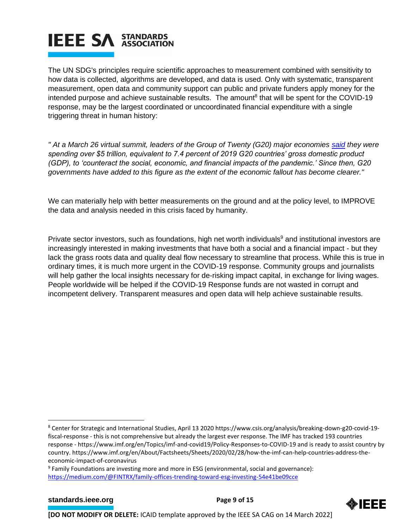The UN SDG's principles require scientific approaches to measurement combined with sensitivity to how data is collected, algorithms are developed, and data is used. Only with systematic, transparent measurement, open data and community support can public and private funders apply money for the intended purpose and achieve sustainable results. The amount<sup>8</sup> that will be spent for the COVID-19 response, may be the largest coordinated or uncoordinated financial expenditure with a single triggering threat in human history:

*" At a March 26 virtual summit, leaders of the Group of Twenty (G20) major economies [said](https://g20.org/en/media/Documents/G20_Extraordinary%20G20%20Leaders%E2%80%99%20Summit_Statement_EN%20(3).pdf) they were spending over \$5 trillion, equivalent to 7.4 percent of 2019 G20 countries' gross domestic product (GDP), to 'counteract the social, economic, and financial impacts of the pandemic.' Since then, G20 governments have added to this figure as the extent of the economic fallout has become clearer."*

We can materially help with better measurements on the ground and at the policy level, to IMPROVE the data and analysis needed in this crisis faced by humanity.

Private sector investors, such as foundations, high net worth individuals<sup>9</sup> and institutional investors are increasingly interested in making investments that have both a social and a financial impact - but they lack the grass roots data and quality deal flow necessary to streamline that process. While this is true in ordinary times, it is much more urgent in the COVID-19 response. Community groups and journalists will help gather the local insights necessary for de-risking impact capital, in exchange for living wages. People worldwide will be helped if the COVID-19 Response funds are not wasted in corrupt and incompetent delivery. Transparent measures and open data will help achieve sustainable results.

#### **[standards.ieee.org](http://standards.ieee.org/) EXECUTE: Page 9 of 15**



<sup>8</sup> Center for Strategic and International Studies, April 13 2020 https://www.csis.org/analysis/breaking-down-g20-covid-19 fiscal-response - this is not comprehensive but already the largest ever response. The IMF has tracked 193 countries response - https://www.imf.org/en/Topics/imf-and-covid19/Policy-Responses-to-COVID-19 and is ready to assist country by country. https://www.imf.org/en/About/Factsheets/Sheets/2020/02/28/how-the-imf-can-help-countries-address-theeconomic-impact-of-coronavirus

<sup>&</sup>lt;sup>9</sup> Family Foundations are investing more and more in ESG (environmental, social and governance): <https://medium.com/@FINTRX/family-offices-trending-toward-esg-investing-54e41be09cce>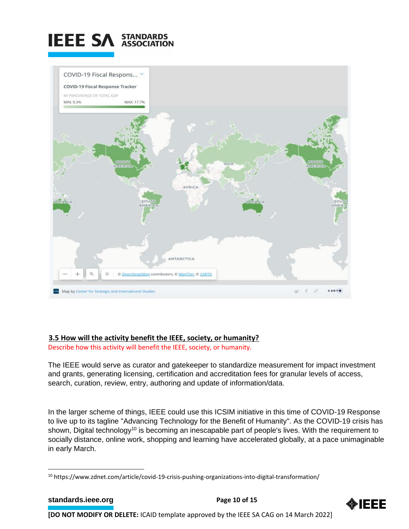



#### **3.5 How will the activity benefit the IEEE, society, or humanity?**

Describe how this activity will benefit the IEEE, society, or humanity.

The IEEE would serve as curator and gatekeeper to standardize measurement for impact investment and grants, generating licensing, certification and accreditation fees for granular levels of access, search, curation, review, entry, authoring and update of information/data.

In the larger scheme of things, IEEE could use this ICSIM initiative in this time of COVID-19 Response to live up to its tagline "Advancing Technology for the Benefit of Humanity". As the COVID-19 crisis has shown, Digital technology<sup>10</sup> is becoming an inescapable part of people's lives. With the requirement to socially distance, online work, shopping and learning have accelerated globally, at a pace unimaginable in early March.



<sup>10</sup> https://www.zdnet.com/article/covid-19-crisis-pushing-organizations-into-digital-transformation/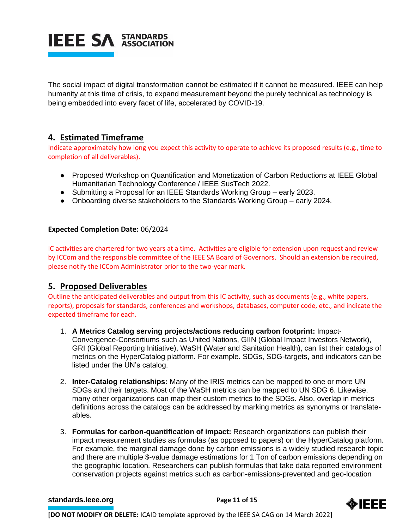

The social impact of digital transformation cannot be estimated if it cannot be measured. IEEE can help humanity at this time of crisis, to expand measurement beyond the purely technical as technology is being embedded into every facet of life, accelerated by COVID-19.

### **4. Estimated Timeframe**

Indicate approximately how long you expect this activity to operate to achieve its proposed results (e.g., time to completion of all deliverables).

- Proposed Workshop on Quantification and Monetization of Carbon Reductions at IEEE Global Humanitarian Technology Conference / IEEE SusTech 2022.
- Submitting a Proposal for an IEEE Standards Working Group early 2023.
- Onboarding diverse stakeholders to the Standards Working Group early 2024.

#### **Expected Completion Date:** 06/2024

IC activities are chartered for two years at a time. Activities are eligible for extension upon request and review by ICCom and the responsible committee of the IEEE SA Board of Governors. Should an extension be required, please notify the ICCom Administrator prior to the two-year mark.

#### **5. Proposed Deliverables**

Outline the anticipated deliverables and output from this IC activity, such as documents (e.g., white papers, reports), proposals for standards, conferences and workshops, databases, computer code, etc., and indicate the expected timeframe for each.

- 1. **A Metrics Catalog serving projects/actions reducing carbon footprint:** Impact-Convergence-Consortiums such as United Nations, GIIN (Global Impact Investors Network), GRI (Global Reporting Initiative), WaSH (Water and Sanitation Health), can list their catalogs of metrics on the HyperCatalog platform. For example. SDGs, SDG-targets, and indicators can be listed under the UN's catalog.
- 2. **Inter-Catalog relationships:** Many of the IRIS metrics can be mapped to one or more UN SDGs and their targets. Most of the WaSH metrics can be mapped to UN SDG 6. Likewise, many other organizations can map their custom metrics to the SDGs. Also, overlap in metrics definitions across the catalogs can be addressed by marking metrics as synonyms or translateables.
- 3. **Formulas for carbon-quantification of impact:** Research organizations can publish their impact measurement studies as formulas (as opposed to papers) on the HyperCatalog platform. For example, the marginal damage done by carbon emissions is a widely studied research topic and there are multiple \$-value damage estimations for 1 Ton of carbon emissions depending on the geographic location. Researchers can publish formulas that take data reported environment conservation projects against metrics such as carbon-emissions-prevented and geo-location

#### **[standards.ieee.org](http://standards.ieee.org/) Brandards.ieee.org Brandards.ieee.org Brandards.ieee.org Brandards.ieee.org Brandards.ieee.org Brandards.ieee.org Brandards.ieee.org Brandards.ieee.org Brandards.ieee.org Brandards.**

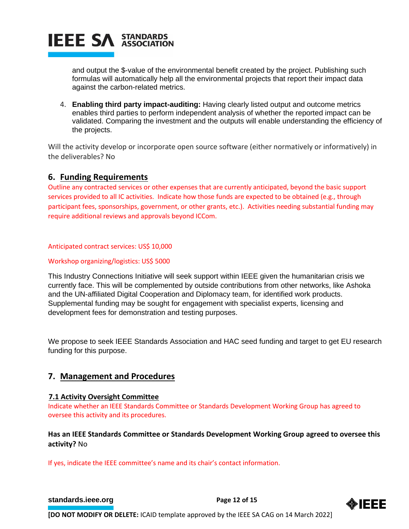

and output the \$-value of the environmental benefit created by the project. Publishing such formulas will automatically help all the environmental projects that report their impact data against the carbon-related metrics.

4. **Enabling third party impact-auditing:** Having clearly listed output and outcome metrics enables third parties to perform independent analysis of whether the reported impact can be validated. Comparing the investment and the outputs will enable understanding the efficiency of the projects.

Will the activity develop or incorporate open source software (either normatively or informatively) in the deliverables? No

#### **6. Funding Requirements**

Outline any contracted services or other expenses that are currently anticipated, beyond the basic support services provided to all IC activities. Indicate how those funds are expected to be obtained (e.g., through participant fees, sponsorships, government, or other grants, etc.). Activities needing substantial funding may require additional reviews and approvals beyond ICCom.

#### Anticipated contract services: US\$ 10,000

#### Workshop organizing/logistics: US\$ 5000

This Industry Connections Initiative will seek support within IEEE given the humanitarian crisis we currently face. This will be complemented by outside contributions from other networks, like Ashoka and the UN-affiliated Digital Cooperation and Diplomacy team, for identified work products. Supplemental funding may be sought for engagement with specialist experts, licensing and development fees for demonstration and testing purposes.

We propose to seek IEEE Standards Association and HAC seed funding and target to get EU research funding for this purpose.

#### **7. Management and Procedures**

#### **7.1 Activity Oversight Committee**

Indicate whether an IEEE Standards Committee or Standards Development Working Group has agreed to oversee this activity and its procedures.

#### **Has an IEEE Standards Committee or Standards Development Working Group agreed to oversee this activity?** No

If yes, indicate the IEEE committee's name and its chair's contact information.

#### **[standards.ieee.org](http://standards.ieee.org/) Brandards.ieee.org Brandards Page 12 of 15**

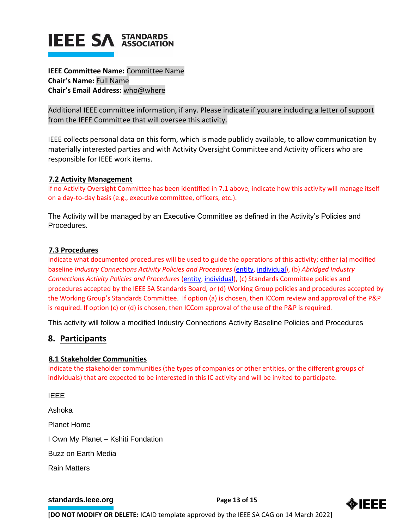**IEEE Committee Name:** Committee Name **Chair's Name:** Full Name **Chair's Email Address:** who@where

Additional IEEE committee information, if any. Please indicate if you are including a letter of support from the IEEE Committee that will oversee this activity.

IEEE collects personal data on this form, which is made publicly available, to allow communication by materially interested parties and with Activity Oversight Committee and Activity officers who are responsible for IEEE work items.

#### **7.2 Activity Management**

If no Activity Oversight Committee has been identified in 7.1 above, indicate how this activity will manage itself on a day-to-day basis (e.g., executive committee, officers, etc.).

The Activity will be managed by an Executive Committee as defined in the Activity's Policies and Procedures.

#### **7.3 Procedures**

Indicate what documented procedures will be used to guide the operations of this activity; either (a) modified baseline *Industry Connections Activity Policies and Procedures* [\(entity,](https://standards.ieee.org/content/dam/ieee-standards/standards/web/governance/iccom/IC_Activity_PNP_Entity_Baseline.doc) [individual\)](https://standards.ieee.org/content/dam/ieee-standards/standards/web/governance/iccom/IC_Activity_PNP_Individual_Baseline.doc), (b) *Abridged Industry Connections Activity Policies and Procedures* [\(entity,](https://standards.ieee.org/content/dam/ieee-standards/standards/web/governance/iccom/IC_Activity_PP_Abridged_Entity.doc) [individual\)](https://standards.ieee.org/content/dam/ieee-standards/standards/web/governance/iccom/IC_Activity_PP_Abridged_Individual.doc), (c) Standards Committee policies and procedures accepted by the IEEE SA Standards Board, or (d) Working Group policies and procedures accepted by the Working Group's Standards Committee. If option (a) is chosen, then ICCom review and approval of the P&P is required. If option (c) or (d) is chosen, then ICCom approval of the use of the P&P is required.

This activity will follow a modified Industry Connections Activity Baseline Policies and Procedures

#### **8. Participants**

#### **8.1 Stakeholder Communities**

Indicate the stakeholder communities (the types of companies or other entities, or the different groups of individuals) that are expected to be interested in this IC activity and will be invited to participate.

IEEE Ashoka Planet Home I Own My Planet – Kshiti Fondation Buzz on Earth Media Rain Matters

#### **[standards.ieee.org](http://standards.ieee.org/)**<br> **Page 13 of 15**

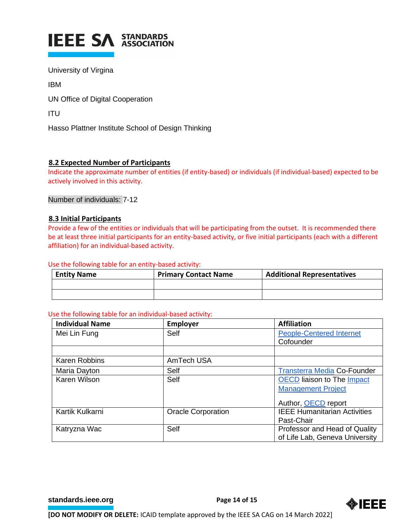

University of Virgina

IBM

UN Office of Digital Cooperation

ITU

Hasso Plattner Institute School of Design Thinking

#### **8.2 Expected Number of Participants**

Indicate the approximate number of entities (if entity-based) or individuals (if individual-based) expected to be actively involved in this activity.

Number of individuals: 7-12

#### **8.3 Initial Participants**

Provide a few of the entities or individuals that will be participating from the outset. It is recommended there be at least three initial participants for an entity-based activity, or five initial participants (each with a different affiliation) for an individual-based activity.

#### Use the following table for an entity-based activity:

| <b>Entity Name</b> | <b>Primary Contact Name</b> | <b>Additional Representatives</b> |
|--------------------|-----------------------------|-----------------------------------|
|                    |                             |                                   |
|                    |                             |                                   |

#### Use the following table for an individual-based activity:

| <b>Individual Name</b> | <b>Employer</b>           | <b>Affiliation</b>                  |
|------------------------|---------------------------|-------------------------------------|
| Mei Lin Fung           | <b>Self</b>               | <b>People-Centered Internet</b>     |
|                        |                           | Cofounder                           |
|                        |                           |                                     |
| <b>Karen Robbins</b>   | AmTech USA                |                                     |
| Maria Dayton           | Self                      | <b>Transterra Media Co-Founder</b>  |
| Karen Wilson           | <b>Self</b>               | <b>OECD</b> liaison to The Impact   |
|                        |                           | <b>Management Project</b>           |
|                        |                           | Author, OECD report                 |
| Kartik Kulkarni        | <b>Oracle Corporation</b> | <b>IEEE Humanitarian Activities</b> |
|                        |                           | Past-Chair                          |
| Katryzna Wac           | Self                      | Professor and Head of Quality       |
|                        |                           | of Life Lab, Geneva University      |

**[standards.ieee.org](http://standards.ieee.org/) EXECUTE: Page 14 of 15**